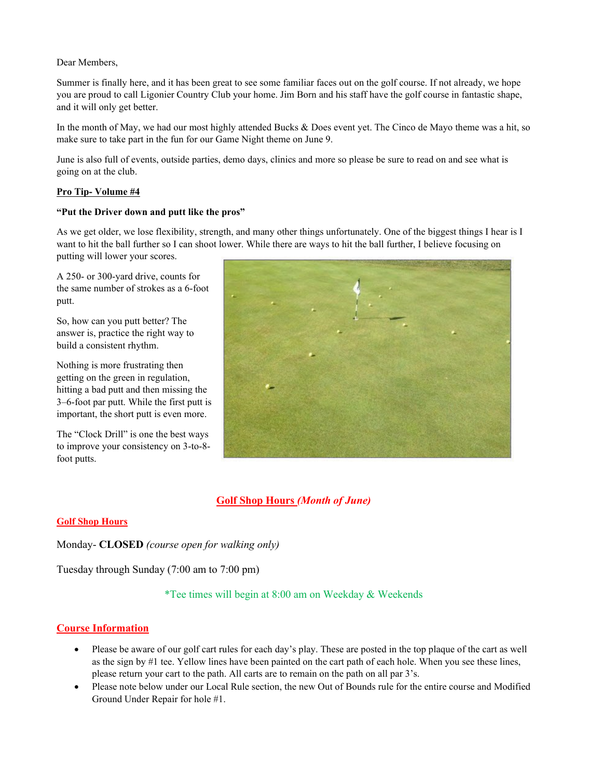### Dear Members,

Summer is finally here, and it has been great to see some familiar faces out on the golf course. If not already, we hope you are proud to call Ligonier Country Club your home. Jim Born and his staff have the golf course in fantastic shape, and it will only get better.

In the month of May, we had our most highly attended Bucks & Does event yet. The Cinco de Mayo theme was a hit, so make sure to take part in the fun for our Game Night theme on June 9.

June is also full of events, outside parties, demo days, clinics and more so please be sure to read on and see what is going on at the club.

## **Pro Tip- Volume #4**

### **"Put the Driver down and putt like the pros"**

As we get older, we lose flexibility, strength, and many other things unfortunately. One of the biggest things I hear is I want to hit the ball further so I can shoot lower. While there are ways to hit the ball further, I believe focusing on putting will lower your scores.

A 250- or 300-yard drive, counts for the same number of strokes as a 6-foot putt.

So, how can you putt better? The answer is, practice the right way to build a consistent rhythm.

Nothing is more frustrating then getting on the green in regulation, hitting a bad putt and then missing the 3–6-foot par putt. While the first putt is important, the short putt is even more.

The "Clock Drill" is one the best ways to improve your consistency on 3-to-8 foot putts.



# **Golf Shop Hours** *(Month of June)*

# **Golf Shop Hours**

Monday- **CLOSED** *(course open for walking only)* 

Tuesday through Sunday (7:00 am to 7:00 pm)

\*Tee times will begin at 8:00 am on Weekday & Weekends

# **Course Information**

- Please be aware of our golf cart rules for each day's play. These are posted in the top plaque of the cart as well as the sign by #1 tee. Yellow lines have been painted on the cart path of each hole. When you see these lines, please return your cart to the path. All carts are to remain on the path on all par 3's.
- Please note below under our Local Rule section, the new Out of Bounds rule for the entire course and Modified Ground Under Repair for hole #1.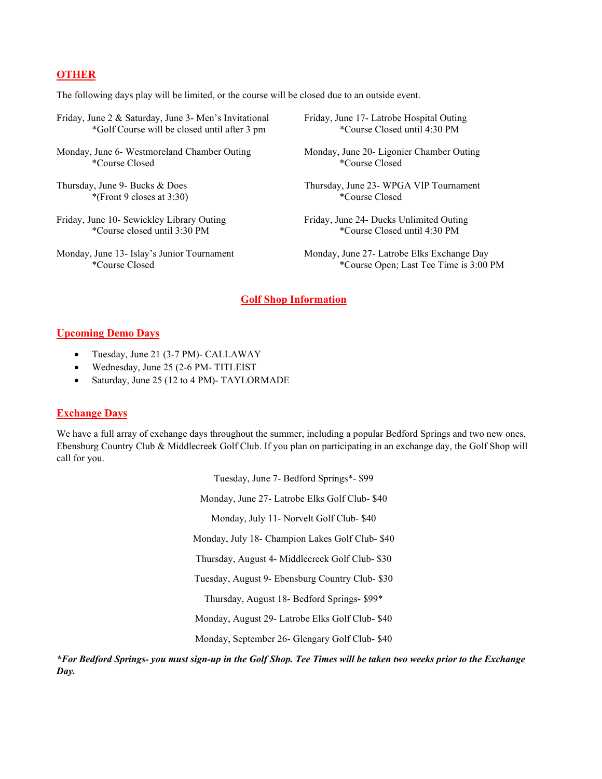# **OTHER**

The following days play will be limited, or the course will be closed due to an outside event.

- Friday, June 2 & Saturday, June 3- Men's Invitational Friday, June 17- Latrobe Hospital Outing \*Golf Course will be closed until after 3 pm \*Course Closed until 4:30 PM
- Monday, June 6- Westmoreland Chamber Outing Monday, June 20- Ligonier Chamber Outing<br>
\*Course Closed \*Course Closed \*Course Closed \*Course Closed \*Course Closed \*Course Closed \*Course Closed \*Course Closed \*Course Closed \*
- \*(Front 9 closes at  $3:30$ )
- 
- 
- 
- \*Course Closed \*Course Closed
- Thursday, June 9- Bucks & Does Thursday, June 23- WPGA VIP Tournament<br>
\*(Front 9 closes at 3:30) \*(Transland \*(Course Closed \*)
- Friday, June 10- Sewickley Library Outing Friday, June 24- Ducks Unlimited Outing \*Course closed until 3:30 PM \*Course Closed until 4:30 PM
- Monday, June 13- Islay's Junior Tournament Monday, June 27- Latrobe Elks Exchange Day \*Course Closed \*Course Open; Last Tee Time is 3:00 PM

### **Golf Shop Information**

### **Upcoming Demo Days**

- Tuesday, June 21 (3-7 PM)- CALLAWAY
- Wednesday, June 25 (2-6 PM- TITLEIST
- Saturday, June 25 (12 to 4 PM)- TAYLORMADE

### **Exchange Days**

We have a full array of exchange days throughout the summer, including a popular Bedford Springs and two new ones, Ebensburg Country Club & Middlecreek Golf Club. If you plan on participating in an exchange day, the Golf Shop will call for you.

> Tuesday, June 7- Bedford Springs\*- \$99 Monday, June 27- Latrobe Elks Golf Club- \$40 Monday, July 11- Norvelt Golf Club- \$40 Monday, July 18- Champion Lakes Golf Club- \$40 Thursday, August 4- Middlecreek Golf Club- \$30 Tuesday, August 9- Ebensburg Country Club- \$30 Thursday, August 18- Bedford Springs- \$99\* Monday, August 29- Latrobe Elks Golf Club- \$40 Monday, September 26- Glengary Golf Club- \$40

*\*For Bedford Springs- you must sign-up in the Golf Shop. Tee Times will be taken two weeks prior to the Exchange Day.*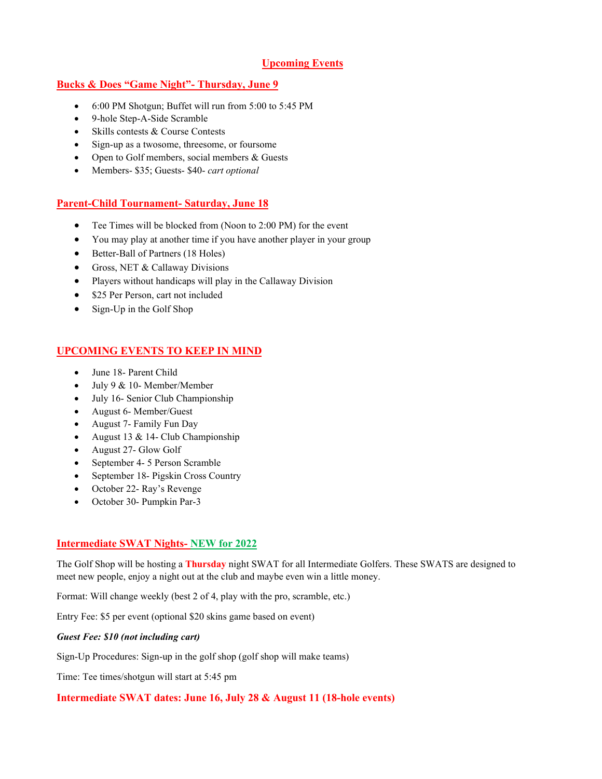# **Upcoming Events**

# **Bucks & Does "Game Night"- Thursday, June 9**

- 6:00 PM Shotgun; Buffet will run from 5:00 to 5:45 PM
- 9-hole Step-A-Side Scramble
- Skills contests & Course Contests
- Sign-up as a twosome, threesome, or foursome
- Open to Golf members, social members & Guests
- Members- \$35; Guests- \$40- *cart optional*

# **Parent-Child Tournament- Saturday, June 18**

- Tee Times will be blocked from (Noon to 2:00 PM) for the event
- You may play at another time if you have another player in your group
- Better-Ball of Partners (18 Holes)
- Gross, NET & Callaway Divisions
- Players without handicaps will play in the Callaway Division
- \$25 Per Person, cart not included
- Sign-Up in the Golf Shop

# **UPCOMING EVENTS TO KEEP IN MIND**

- June 18- Parent Child
- July 9 & 10- Member/Member
- July 16- Senior Club Championship
- August 6- Member/Guest
- August 7- Family Fun Day
- August 13 & 14- Club Championship
- August 27- Glow Golf
- September 4- 5 Person Scramble
- September 18- Pigskin Cross Country
- October 22- Ray's Revenge
- October 30- Pumpkin Par-3

# **Intermediate SWAT Nights- NEW for 2022**

The Golf Shop will be hosting a **Thursday** night SWAT for all Intermediate Golfers. These SWATS are designed to meet new people, enjoy a night out at the club and maybe even win a little money.

Format: Will change weekly (best 2 of 4, play with the pro, scramble, etc.)

Entry Fee: \$5 per event (optional \$20 skins game based on event)

### *Guest Fee: \$10 (not including cart)*

Sign-Up Procedures: Sign-up in the golf shop (golf shop will make teams)

Time: Tee times/shotgun will start at 5:45 pm

# **Intermediate SWAT dates: June 16, July 28 & August 11 (18-hole events)**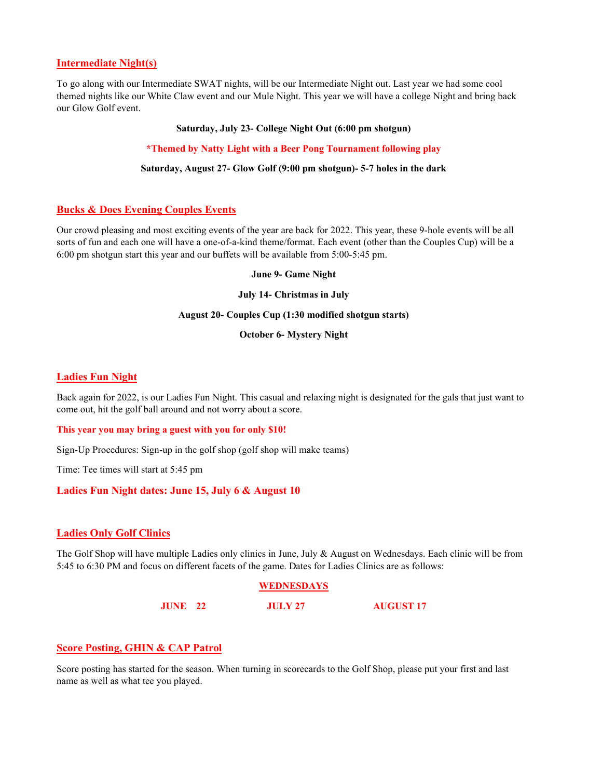### **Intermediate Night(s)**

To go along with our Intermediate SWAT nights, will be our Intermediate Night out. Last year we had some cool themed nights like our White Claw event and our Mule Night. This year we will have a college Night and bring back our Glow Golf event.

#### **Saturday, July 23- College Night Out (6:00 pm shotgun)**

#### **\*Themed by Natty Light with a Beer Pong Tournament following play**

#### **Saturday, August 27- Glow Golf (9:00 pm shotgun)- 5-7 holes in the dark**

### **Bucks & Does Evening Couples Events**

Our crowd pleasing and most exciting events of the year are back for 2022. This year, these 9-hole events will be all sorts of fun and each one will have a one-of-a-kind theme/format. Each event (other than the Couples Cup) will be a 6:00 pm shotgun start this year and our buffets will be available from 5:00-5:45 pm.

#### **June 9- Game Night**

#### **July 14- Christmas in July**

#### **August 20- Couples Cup (1:30 modified shotgun starts)**

#### **October 6- Mystery Night**

### **Ladies Fun Night**

Back again for 2022, is our Ladies Fun Night. This casual and relaxing night is designated for the gals that just want to come out, hit the golf ball around and not worry about a score.

#### **This year you may bring a guest with you for only \$10!**

Sign-Up Procedures: Sign-up in the golf shop (golf shop will make teams)

Time: Tee times will start at 5:45 pm

### **Ladies Fun Night dates: June 15, July 6 & August 10**

#### **Ladies Only Golf Clinics**

The Golf Shop will have multiple Ladies only clinics in June, July & August on Wednesdays. Each clinic will be from 5:45 to 6:30 PM and focus on different facets of the game. Dates for Ladies Clinics are as follows:

#### **WEDNESDAYS**

**JUNE 22 JULY 27 AUGUST 17**

## **Score Posting, GHIN & CAP Patrol**

Score posting has started for the season. When turning in scorecards to the Golf Shop, please put your first and last name as well as what tee you played.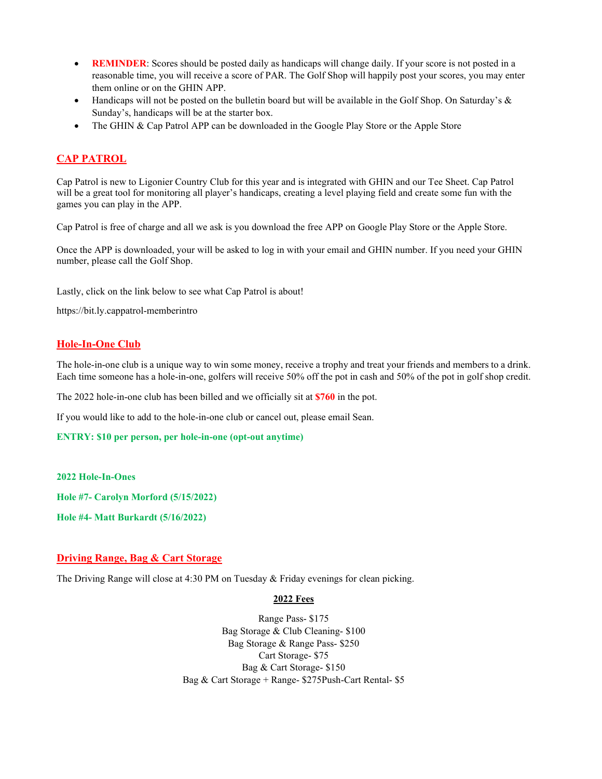- **REMINDER:** Scores should be posted daily as handicaps will change daily. If your score is not posted in a reasonable time, you will receive a score of PAR. The Golf Shop will happily post your scores, you may enter them online or on the GHIN APP.
- Handicaps will not be posted on the bulletin board but will be available in the Golf Shop. On Saturday's  $\&$ Sunday's, handicaps will be at the starter box.
- The GHIN & Cap Patrol APP can be downloaded in the Google Play Store or the Apple Store

# **CAP PATROL**

Cap Patrol is new to Ligonier Country Club for this year and is integrated with GHIN and our Tee Sheet. Cap Patrol will be a great tool for monitoring all player's handicaps, creating a level playing field and create some fun with the games you can play in the APP.

Cap Patrol is free of charge and all we ask is you download the free APP on Google Play Store or the Apple Store.

Once the APP is downloaded, your will be asked to log in with your email and GHIN number. If you need your GHIN number, please call the Golf Shop.

Lastly, click on the link below to see what Cap Patrol is about!

https://bit.ly.cappatrol-memberintro

### **Hole-In-One Club**

The hole-in-one club is a unique way to win some money, receive a trophy and treat your friends and members to a drink. Each time someone has a hole-in-one, golfers will receive 50% off the pot in cash and 50% of the pot in golf shop credit.

The 2022 hole-in-one club has been billed and we officially sit at **\$760** in the pot.

If you would like to add to the hole-in-one club or cancel out, please email Sean.

**ENTRY: \$10 per person, per hole-in-one (opt-out anytime)**

#### **2022 Hole-In-Ones**

**Hole #7- Carolyn Morford (5/15/2022)**

**Hole #4- Matt Burkardt (5/16/2022)**

#### **Driving Range, Bag & Cart Storage**

The Driving Range will close at 4:30 PM on Tuesday & Friday evenings for clean picking.

#### **2022 Fees**

Range Pass- \$175 Bag Storage & Club Cleaning- \$100 Bag Storage & Range Pass- \$250 Cart Storage- \$75 Bag & Cart Storage- \$150 Bag & Cart Storage + Range- \$275Push-Cart Rental- \$5